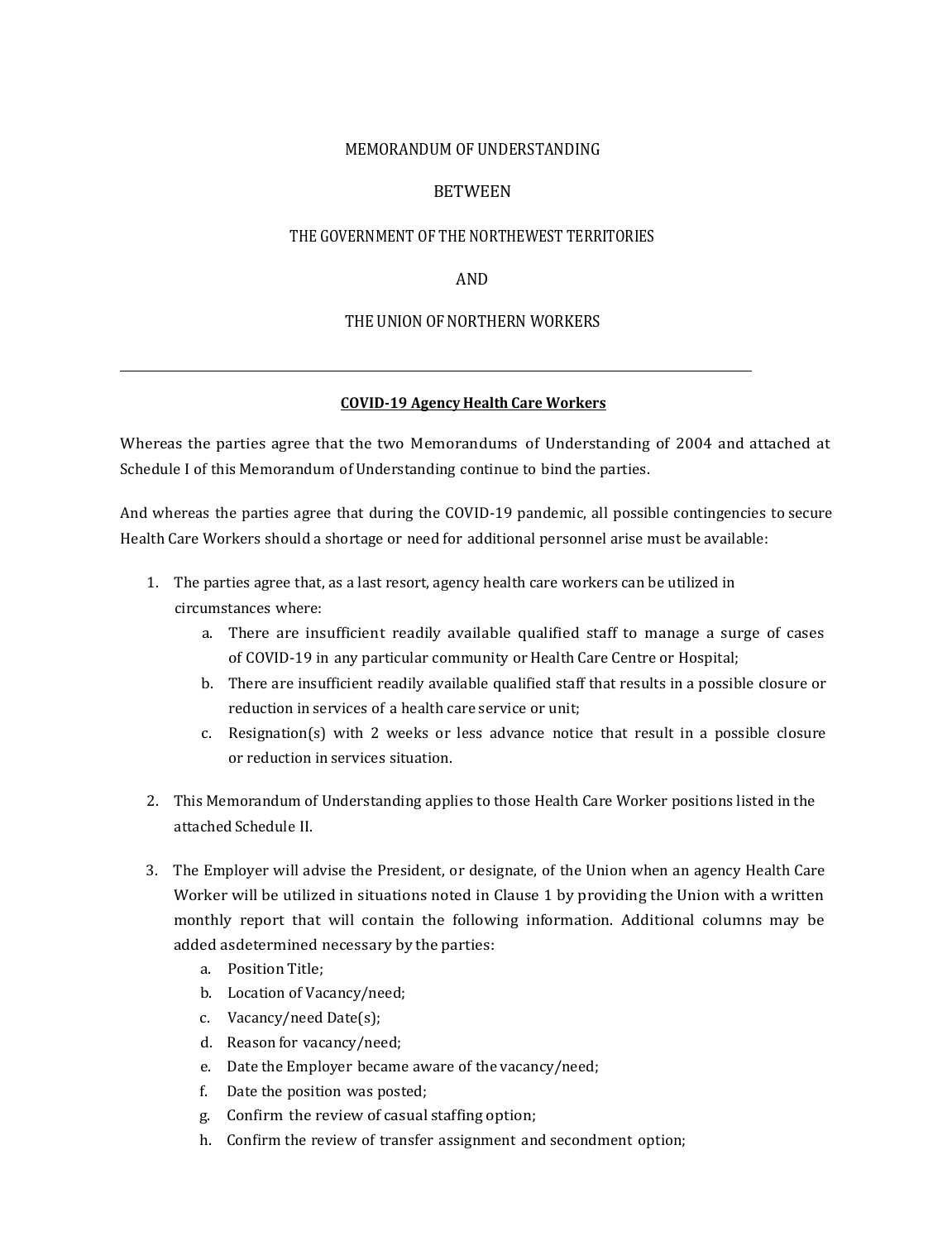#### MEMORANDUM OF UNDERSTANDING

## BETWEEN

## THE GOVERNMENT OF THE NORTHEWEST TERRITORIES

AND

## THE UNION OF NORTHERN WORKERS

### **COVID-19 Agency Health Care Workers**

Whereas the parties agree that the two Memorandums of Understanding of 2004 and attached at Schedule I of this Memorandum of Understanding continue to bind the parties.

And whereas the parties agree that during the COVID-19 pandemic, all possible contingencies to secure Health Care Workers should a shortage or need for additional personnel arise must be available:

- 1. The parties agree that, as a last resort, agency health care workers can be utilized in circumstances where:
	- a. There are insufficient readily available qualified staff to manage a surge of cases of COVID-19 in any particular community or Health Care Centre or Hospital;
	- b. There are insufficient readily available qualified staff that results in a possible closure or reduction in services of a health care service or unit;
	- c. Resignation(s) with 2 weeks or less advance notice that result in a possible closure or reduction in services situation.
- 2. This Memorandum of Understanding applies to those Health Care Worker positions listed in the attached Schedule II.
- 3. The Employer will advise the President, or designate, of the Union when an agency Health Care Worker will be utilized in situations noted in Clause 1 by providing the Union with a written monthly report that will contain the following information. Additional columns may be added asdetermined necessary by the parties:
	- a. Position Title;
	- b. Location of Vacancy/need;
	- c. Vacancy/need Date(s);
	- d. Reason for vacancy/need;
	- e. Date the Employer became aware of the vacancy/need;
	- f. Date the position was posted;
	- g. Confirm the review of casual staffing option;
	- h. Confirm the review of transfer assignment and secondment option;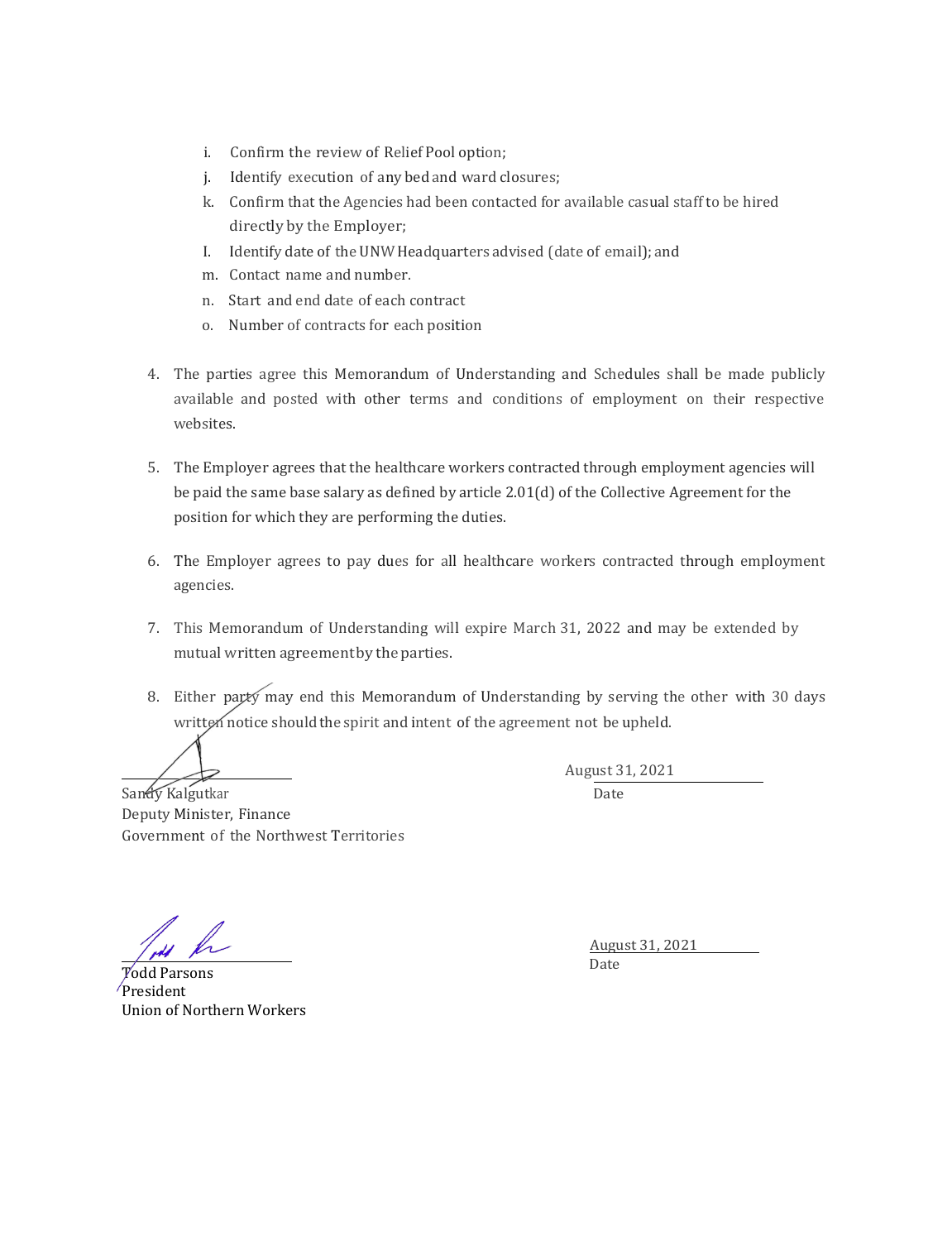- i. Confirm the review of Relief Pool option;
- j. Identify execution of any bedand ward closures;
- k. Confirm that the Agencies had been contacted for available casual staff to be hired directly by the Employer;
- I. Identify date of the UNW Headquarters advised (date of email); and
- m. Contact name and number.
- n. Start and end date of each contract
- o. Number of contracts for each position
- 4. The parties agree this Memorandum of Understanding and Schedules shall be made publicly available and posted with other terms and conditions of employment on their respective websites.
- 5. The Employer agrees that the healthcare workers contracted through employment agencies will be paid the same base salary as defined by article  $2.01(d)$  of the Collective Agreement for the position for which they are performing the duties.
- 6. The Employer agrees to pay dues for all healthcare workers contracted through employment agencies.
- 7. This Memorandum of Understanding will expire March 31, 2022 and may be extended by mutual written agreement by the parties.
- 8. Either party may end this Memorandum of Understanding by serving the other with 30 days written notice should the spirit and intent of the agreement not be upheld.

**Date** August 31, 2021

Sandy Kalgutkar Deputy Minister, Finance Government of the Northwest Territories

Todd Parsons President Union of Northern Workers

Date August 31, 2021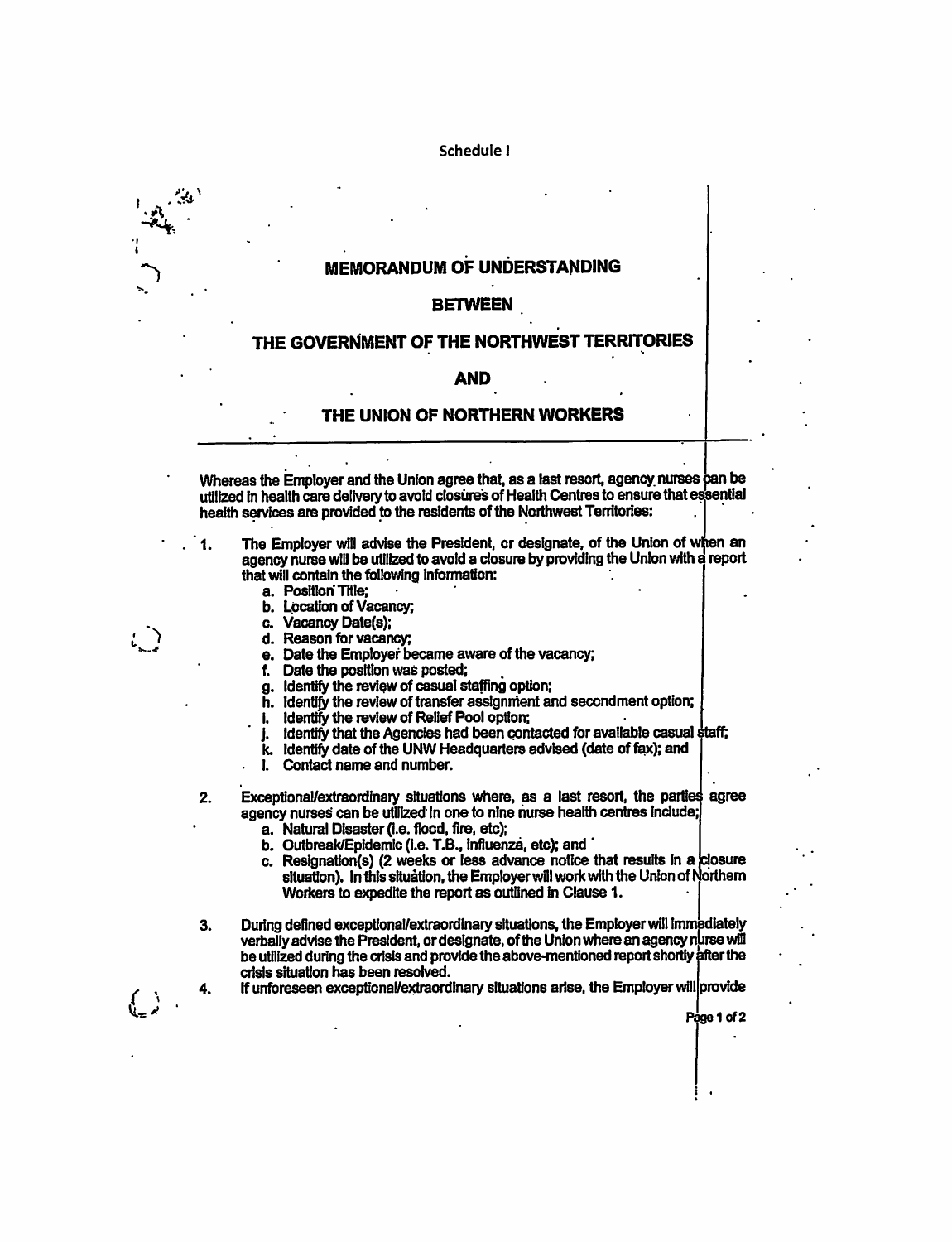#### Schedule I

# **MEMORANDUM OF UNDERSTANDING**

#### **BETWEEN**

## THE GOVERNMENT OF THE NORTHWEST TERRITORIES

#### **AND**

## THE UNION OF NORTHERN WORKERS

Whereas the Employer and the Union agree that, as a last resort, agency nurses can be utilized in health care delivery to avoid closures of Health Centres to ensure that essential health services are provided to the residents of the Northwest Territories:

The Employer will advise the President, or designate, of the Union of when an 1. agency nurse will be utilized to avoid a closure by providing the Union with a report that will contain the following information:

- a. Position Title;
- b. Location of Vacancy;
- c. Vacancy Date(s);
- d. Reason for vacancy:
- e. Date the Employer became aware of the vacancy;
- Date the position was posted; f.
- g. Identify the review of casual staffing option;
- h. Identify the review of transfer assignment and secondment option;
- Identify the review of Relief Pool option; i.
- Identify that the Agencies had been contacted for available casual staff;
- k. Identify date of the UNW Headquarters advised (date of fax); and
- Contact name and number.  $\mathbf{L}$

Exceptional/extraordinary situations where, as a last resort, the parties agree  $2.$ agency nurses can be utilized in one to nine nurse health centres include;

- 
- a. Natural Disaster (i.e. flood, fire, etc);<br>b. Outbreak/Epidemic (i.e. T.B., influenza, etc); and
- c. Resignation(s) (2 weeks or less advance notice that results in a closure situation). In this situation, the Employer will work with the Union of Northern Workers to expedite the report as outlined in Clause 1.
- During defined exceptional/extraordinary situations, the Employer will immediately 3. verbally advise the President, or designate, of the Union where an agency nurse will be utilized during the crisis and provide the above-mentioned report shortly after the crisis situation has been resolved.

If unforeseen exceptional/extraordinary situations arise, the Employer will provide

4.

Page 1 of 2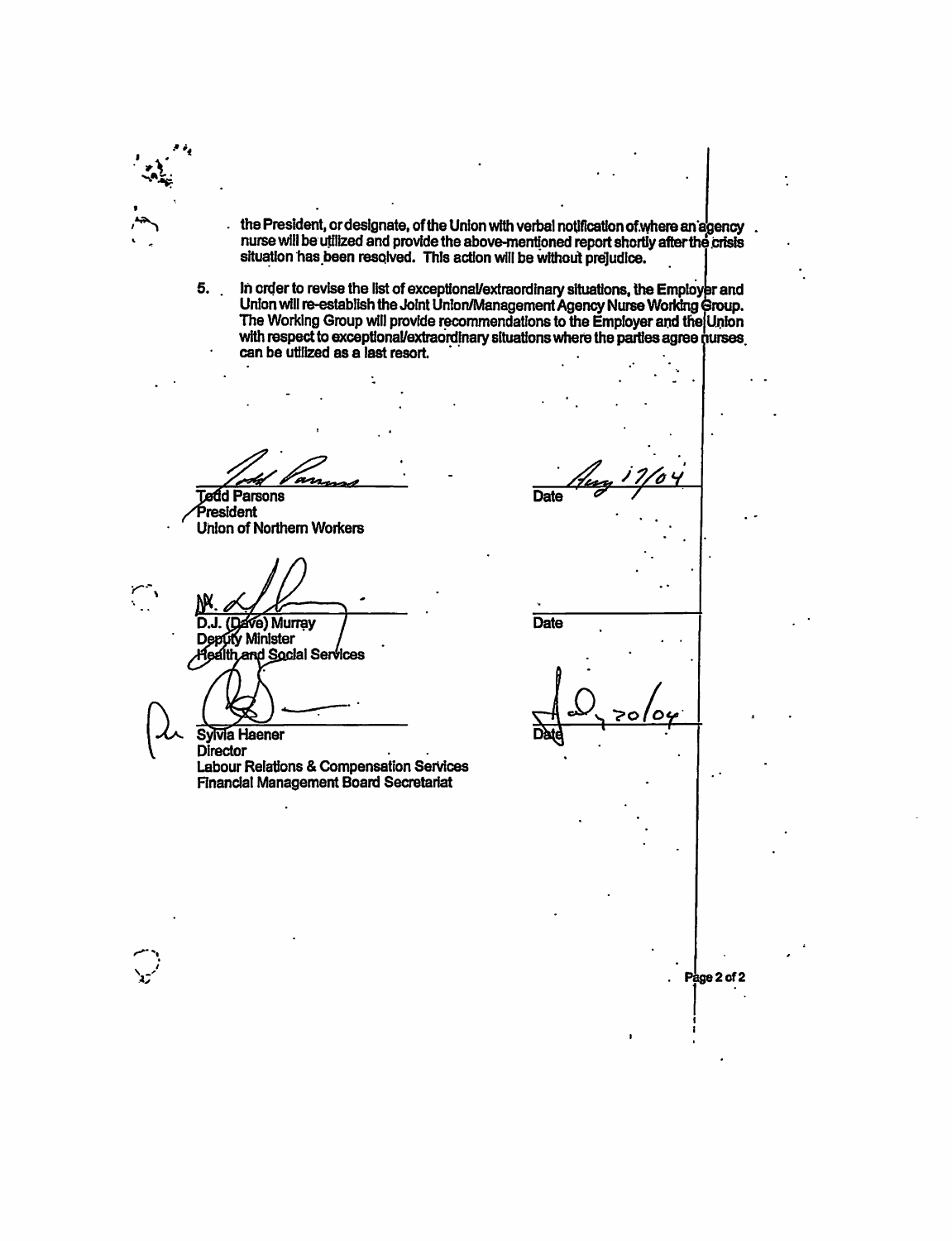the President, or designate, of the Union with verbal notification of where an agency nurse will be utilized and provide the above-mentioned report shortly after the crisis situation has been resolved. This action will be without prejudice.

In order to revise the list of exceptional/extraordinary situations, the Employer and 5. Union will re-establish the Joint Union/Management Agency Nurse Working Group.<br>The Working Group will provide recommendations to the Employer and the Union. with respect to exceptional/extraordinary situations where the parties agree nurses can be utilized as a last resort.

**Tedd Parsons** 

President **Union of Northern Workers** 

 $\sum_{i=1}^{n}$ (Dave) Murray D.J. **Deputy Minister** Health and Social Services

 $\overline{u}$ 

Sylvia Haener Director Labour Relations & Compensation Services **Financial Management Board Secretariat** 

**Date** Date Б. Page 2 of 2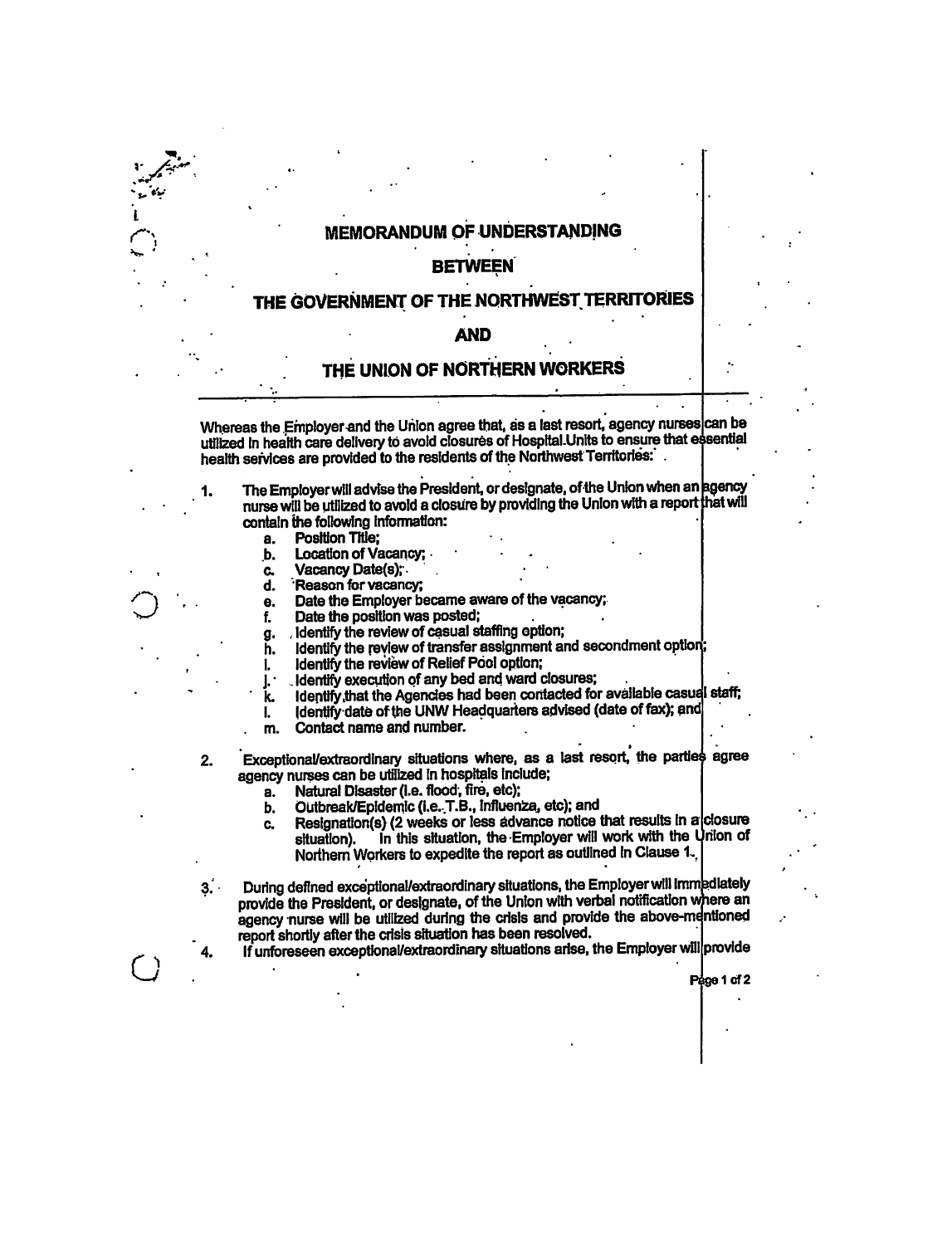## MEMORANDUM OF UNDERSTANDING

## THE GOVERNMENT OF THE NORTHWEST TERRITORIES

#### **AND**

# THE UNION OF NORTHERN WORKERS

Whereas the Employer and the Union agree that, as a last resort, agency nurses can be utilized in health care delivery to avoid closures of Hospital Units to ensure that essential health services are provided to the residents of the Northwest Territories:

The Employer will advise the President, or designate, of the Union when an agency nurse will be utilized to avoid a closure by providing the Union with a report that will contain the following information:

- Position Title: а.
- Location of Vacancy; b.

1.

- Vacancy Date(s): c.
- Reason for vacancy; d.
- Date the Employer became aware of the vacancy;  $\mathbf{e}$
- Date the position was posted: f.
- Identify the review of casual staffing option; g.
- Identify the review of transfer assignment and secondment option; ĥ.
- Identify the review of Relief Pool option; 1.
	- Identify execution of any bed and ward closures;
- Identify that the Agencies had been contacted for available casual staff; k.
- Identify date of the UNW Headquarters advised (date of fax); and I.
- Contact name and number. m.

Exceptional/extraordinary situations where, as a last resort, the parties agree  $2.$ agency nurses can be utilized in hospitals include;

- Natural Disaster (i.e. flood, fire, etc); a.
- Outbreak/Epidemic (i.e. T.B., influenza, etc); and b.
- Resignation(s) (2 weeks or less advance notice that results in a closure c. in this situation, the Employer will work with the Union of situation). Northern Workers to expedite the report as outlined in Clause 1.

Page 1 of 2

During defined exceptional/extraordinary situations, the Employer will immediately  $3.$ provide the President, or designate, of the Union with verbal notification where an agency nurse will be utilized during the crisis and provide the above-mentioned report shortly after the crisis situation has been resolved.

If unforeseen exceptional/extraordinary situations arise, the Employer will provide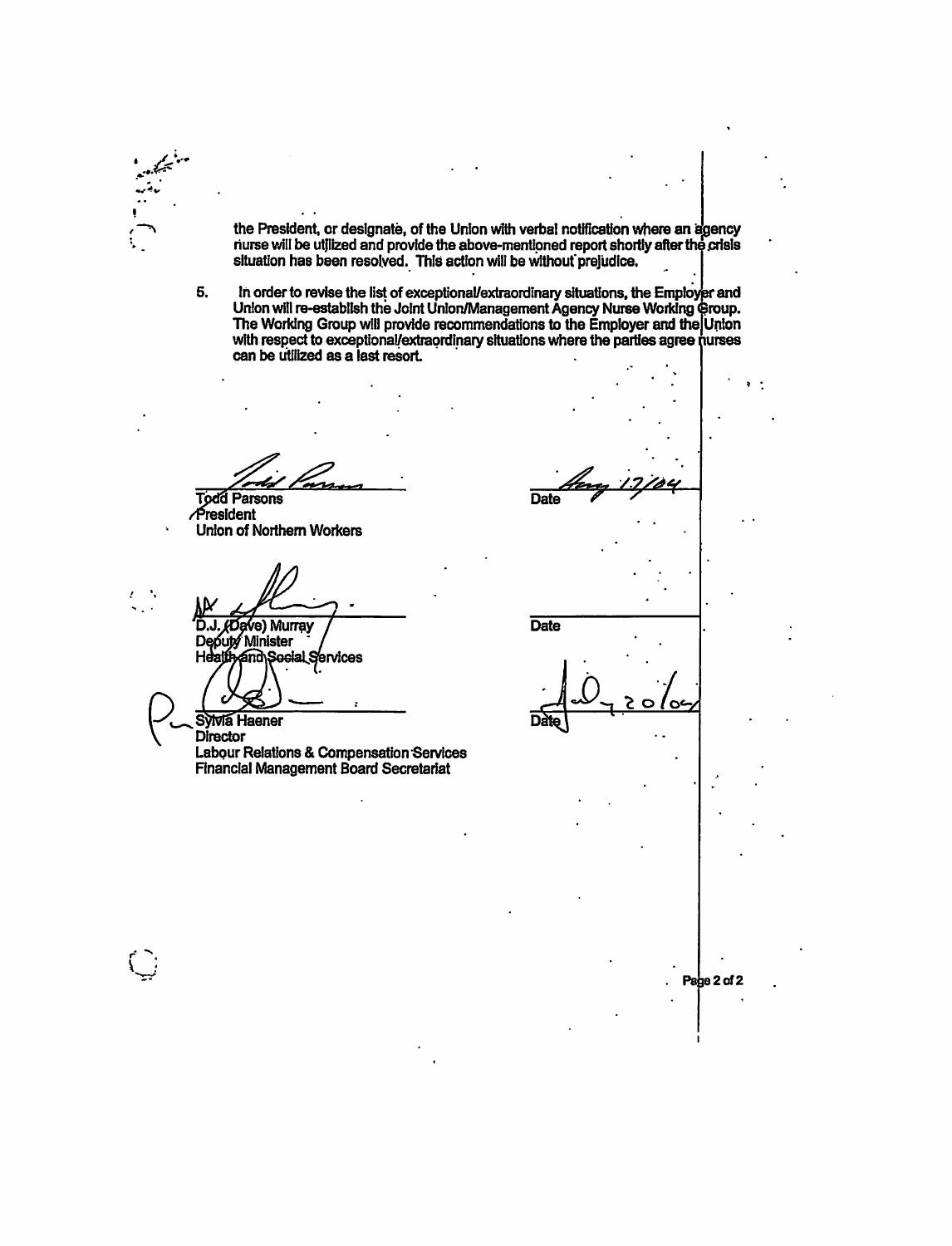the President, or designate, of the Union with verbal notification where an agency riurse will be utilized and provide the above-mentioned report shortly after the crisis situation has been resolved. This action will be without prejudice.

In order to revise the list of exceptional/extraordinary situations, the Employer and Union will re-establish the Joint Union/Management Agency Nurse Working Group.<br>The Working Group will provide recommendations to the Employer and the Union. with respect to exceptional/extraordinary situations where the parties agree nurses can be utilized as a last resort.

**Todd Parsons** 

President **Union of Northern Workers** 

 $\pmb{\cdot}$  $\ddot{\phantom{a}}$  $\mathbb{R}^2$ 

 $\sum_{i=1}^n$ 

**AL. (Dave) Murray**<br>Deputy Minister<br>Health and Social Services

Sylvia Haener **Director Labour Relations & Compensation Services** 

**Financial Management Board Secretariat** 

**Date** 

**Date** 

 $\Omega$ Ō. nа

 $\ddot{\bullet}$ 

Page  $2$  of  $2$ l,

5.